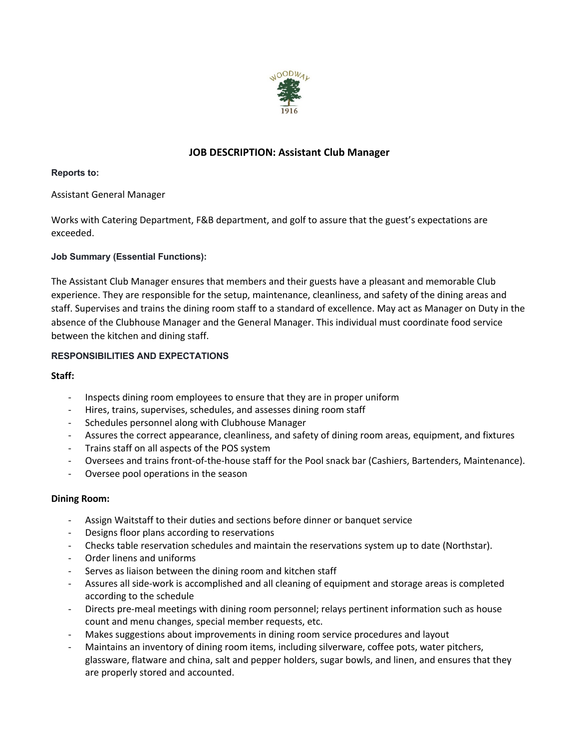

# **JOB DESCRIPTION: Assistant Club Manager**

#### **Reports to:**

## Assistant General Manager

Works with Catering Department, F&B department, and golf to assure that the guest's expectations are exceeded.

## **Job Summary (Essential Functions):**

The Assistant Club Manager ensures that members and their guests have a pleasant and memorable Club experience. They are responsible for the setup, maintenance, cleanliness, and safety of the dining areas and staff. Supervises and trains the dining room staff to a standard of excellence. May act as Manager on Duty in the absence of the Clubhouse Manager and the General Manager. This individual must coordinate food service between the kitchen and dining staff.

# **RESPONSIBILITIES AND EXPECTATIONS**

## **Staff:**

- Inspects dining room employees to ensure that they are in proper uniform
- Hires, trains, supervises, schedules, and assesses dining room staff
- Schedules personnel along with Clubhouse Manager
- Assures the correct appearance, cleanliness, and safety of dining room areas, equipment, and fixtures
- Trains staff on all aspects of the POS system
- Oversees and trains front-of-the-house staff for the Pool snack bar (Cashiers, Bartenders, Maintenance).
- Oversee pool operations in the season

## **Dining Room:**

- Assign Waitstaff to their duties and sections before dinner or banquet service
- Designs floor plans according to reservations
- Checks table reservation schedules and maintain the reservations system up to date (Northstar).
- Order linens and uniforms
- Serves as liaison between the dining room and kitchen staff
- Assures all side-work is accomplished and all cleaning of equipment and storage areas is completed according to the schedule
- Directs pre-meal meetings with dining room personnel; relays pertinent information such as house count and menu changes, special member requests, etc.
- Makes suggestions about improvements in dining room service procedures and layout
- Maintains an inventory of dining room items, including silverware, coffee pots, water pitchers, glassware, flatware and china, salt and pepper holders, sugar bowls, and linen, and ensures that they are properly stored and accounted.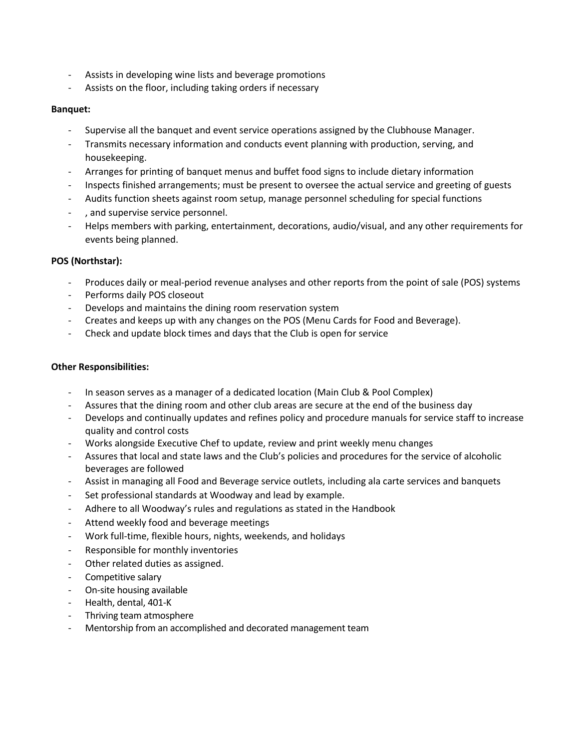- Assists in developing wine lists and beverage promotions
- Assists on the floor, including taking orders if necessary

## **Banquet:**

- Supervise all the banquet and event service operations assigned by the Clubhouse Manager.
- Transmits necessary information and conducts event planning with production, serving, and housekeeping.
- Arranges for printing of banquet menus and buffet food signs to include dietary information
- Inspects finished arrangements; must be present to oversee the actual service and greeting of guests
- Audits function sheets against room setup, manage personnel scheduling for special functions
- , and supervise service personnel.
- Helps members with parking, entertainment, decorations, audio/visual, and any other requirements for events being planned.

## **POS (Northstar):**

- Produces daily or meal-period revenue analyses and other reports from the point of sale (POS) systems
- Performs daily POS closeout
- Develops and maintains the dining room reservation system
- Creates and keeps up with any changes on the POS (Menu Cards for Food and Beverage).
- Check and update block times and days that the Club is open for service

#### **Other Responsibilities:**

- In season serves as a manager of a dedicated location (Main Club & Pool Complex)
- Assures that the dining room and other club areas are secure at the end of the business day
- Develops and continually updates and refines policy and procedure manuals for service staff to increase quality and control costs
- Works alongside Executive Chef to update, review and print weekly menu changes
- Assures that local and state laws and the Club's policies and procedures for the service of alcoholic beverages are followed
- Assist in managing all Food and Beverage service outlets, including ala carte services and banquets
- Set professional standards at Woodway and lead by example.
- Adhere to all Woodway's rules and regulations as stated in the Handbook
- Attend weekly food and beverage meetings
- Work full-time, flexible hours, nights, weekends, and holidays
- Responsible for monthly inventories
- Other related duties as assigned.
- Competitive salary
- On-site housing available
- Health, dental, 401-K
- Thriving team atmosphere
- Mentorship from an accomplished and decorated management team